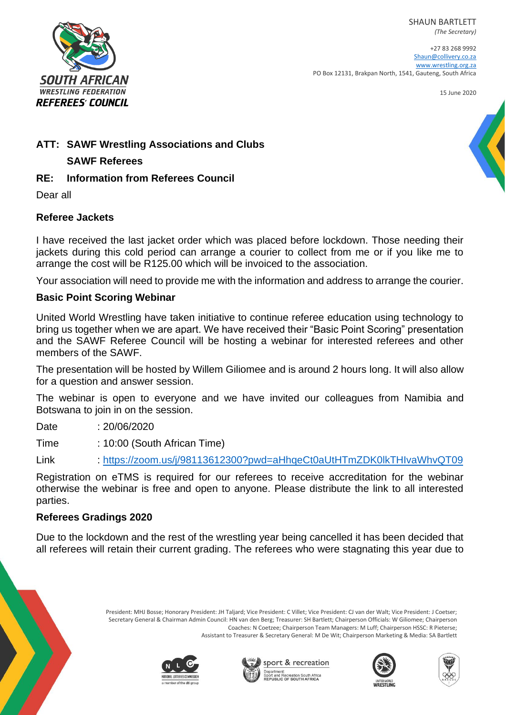SHAUN BARTLETT *(The Secretary)*



+27 83 268 9992 [Shaun@collivery.co.za](mailto:Shaun@collivery.co.za) [www.wrestling.org.za](http://www.wrestling.org.za/) PO Box 12131, Brakpan North, 1541, Gauteng, South Africa

15 June 2020

# **ATT: SAWF Wrestling Associations and Clubs**

#### **SAWF Referees**

### **RE: Information from Referees Council**

Dear all

# **Referee Jackets**

I have received the last jacket order which was placed before lockdown. Those needing their jackets during this cold period can arrange a courier to collect from me or if you like me to arrange the cost will be R125.00 which will be invoiced to the association.

Your association will need to provide me with the information and address to arrange the courier.

# **Basic Point Scoring Webinar**

United World Wrestling have taken initiative to continue referee education using technology to bring us together when we are apart. We have received their "Basic Point Scoring" presentation and the SAWF Referee Council will be hosting a webinar for interested referees and other members of the SAWF.

The presentation will be hosted by Willem Giliomee and is around 2 hours long. It will also allow for a question and answer session.

The webinar is open to everyone and we have invited our colleagues from Namibia and Botswana to join in on the session.

Date : 20/06/2020

Time : 10:00 (South African Time)

Link :<https://zoom.us/j/98113612300?pwd=aHhqeCt0aUtHTmZDK0lkTHIvaWhvQT09>

Registration on eTMS is required for our referees to receive accreditation for the webinar otherwise the webinar is free and open to anyone. Please distribute the link to all interested parties.

#### **Referees Gradings 2020**

Due to the lockdown and the rest of the wrestling year being cancelled it has been decided that all referees will retain their current grading. The referees who were stagnating this year due to

> President: MHJ Bosse; Honorary President: JH Taljard; Vice President: C Villet; Vice President: CJ van der Walt; Vice President: J Coetser; Secretary General & Chairman Admin Council: HN van den Berg; Treasurer: SH Bartlett; Chairperson Officials: W Giliomee; Chairperson Coaches: N Coetzee; Chairperson Team Managers: M Luff; Chairperson HSSC: R Pieterse; Assistant to Treasurer & Secretary General: M De Wit; Chairperson Marketing & Media: SA Bartlett